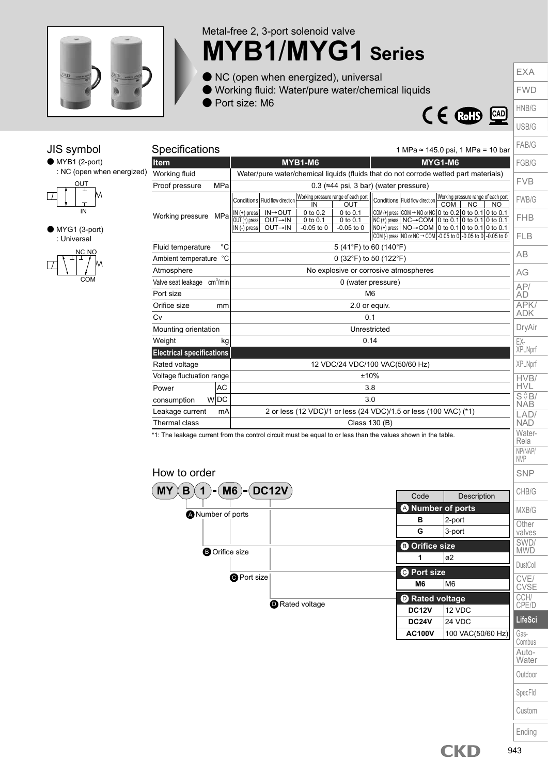

#### Metal-free 2, 3-port solenoid valve

# **MYB1**/**MYG1 Series**

- NC (open when energized), universal
- Working fluid: Water/pure water/chemical liquids
- Port size: M6



EXA FWD HNB/G USB/G

#### JIS symbol

 $\bullet$  MYB1 (2-port) : NC (open when energized)



 $\bullet$  MYG1 (3-port) : Universal



| <b>Specifications</b>                                                                                         |                                                                                      | 1 MPa ≈ 145.0 psi, 1 MPa = 10 bar                                                                                                                                                                                                                                                                                                                                                                                     | FAB/G        |  |
|---------------------------------------------------------------------------------------------------------------|--------------------------------------------------------------------------------------|-----------------------------------------------------------------------------------------------------------------------------------------------------------------------------------------------------------------------------------------------------------------------------------------------------------------------------------------------------------------------------------------------------------------------|--------------|--|
| <b>Item</b>                                                                                                   |                                                                                      | MYG1-M6<br>MYB1-M6                                                                                                                                                                                                                                                                                                                                                                                                    | FGB/G        |  |
| Working fluid                                                                                                 | Water/pure water/chemical liquids (fluids that do not corrode wetted part materials) |                                                                                                                                                                                                                                                                                                                                                                                                                       |              |  |
| Proof pressure                                                                                                | MPa                                                                                  | $0.3$ ( $\approx$ 44 psi, 3 bar) (water pressure)                                                                                                                                                                                                                                                                                                                                                                     | <b>FVB</b>   |  |
|                                                                                                               |                                                                                      | Working pressure range of each port<br>Working pressure range of each port<br>Conditions   Fluid flow direction<br>Conditions Fluid flow direction<br>$\overline{IN}$<br><b>COM</b><br><b>OUT</b><br><b>NC</b><br><b>NO</b>                                                                                                                                                                                           | <b>FWB/G</b> |  |
| Working pressure                                                                                              | MPal                                                                                 | COM (+) press COM $\rightarrow$ NO or NC 0 to 0.2 0 to 0.1 0 to 0.1<br>$IN \rightarrow OUT$<br>$\vert$ IN $(+)$ press<br>$0$ to $0.2$<br>$0$ to $0.1$<br>$NC$ (+) press NC $\rightarrow$ COM   0 to 0.1   0 to 0.1   0 to 0.1<br>OUT→IN<br>0 to 0.1<br>OUT (+) press<br>0 to 0.1<br>OUT→IN<br>$ NO(+)$ press $ NO \rightarrow COM$   0 to 0.1   0 to 0.1   0 to 0.1<br>$-0.05$ to 0<br>$-0.05$ to 0<br>$IN$ (-) press | <b>FHB</b>   |  |
|                                                                                                               |                                                                                      | COM (-) press NO or NC $\rightarrow$ COM $-0.05$ to 0 $-0.05$ to 0 $-0.05$ to 0                                                                                                                                                                                                                                                                                                                                       | <b>FLB</b>   |  |
| Fluid temperature                                                                                             | °C                                                                                   | 5 (41°F) to 60 (140°F)                                                                                                                                                                                                                                                                                                                                                                                                |              |  |
| Ambient temperature                                                                                           | $^{\circ}C$                                                                          | 0 (32°F) to 50 (122°F)                                                                                                                                                                                                                                                                                                                                                                                                | AB           |  |
| Atmosphere                                                                                                    |                                                                                      | No explosive or corrosive atmospheres                                                                                                                                                                                                                                                                                                                                                                                 |              |  |
|                                                                                                               | Valve seat leakage cm <sup>3</sup> /min<br>0 (water pressure)                        |                                                                                                                                                                                                                                                                                                                                                                                                                       | AP/          |  |
| Port size                                                                                                     | M <sub>6</sub>                                                                       |                                                                                                                                                                                                                                                                                                                                                                                                                       | AD           |  |
| Orifice size                                                                                                  | mm                                                                                   | 2.0 or equiv.                                                                                                                                                                                                                                                                                                                                                                                                         |              |  |
| Cv                                                                                                            | 0.1                                                                                  |                                                                                                                                                                                                                                                                                                                                                                                                                       | ADK          |  |
| Mounting orientation                                                                                          |                                                                                      | Unrestricted                                                                                                                                                                                                                                                                                                                                                                                                          |              |  |
| Weight                                                                                                        | kg                                                                                   | 0.14                                                                                                                                                                                                                                                                                                                                                                                                                  |              |  |
| <b>Electrical specifications</b>                                                                              |                                                                                      |                                                                                                                                                                                                                                                                                                                                                                                                                       | XPLNprf      |  |
| Rated voltage                                                                                                 |                                                                                      | 12 VDC/24 VDC/100 VAC(50/60 Hz)                                                                                                                                                                                                                                                                                                                                                                                       |              |  |
| Voltage fluctuation range                                                                                     |                                                                                      | ±10%                                                                                                                                                                                                                                                                                                                                                                                                                  |              |  |
| Power                                                                                                         | AC                                                                                   | HVB/<br><b>HVL</b><br>3.8                                                                                                                                                                                                                                                                                                                                                                                             |              |  |
| W <sub>DC</sub><br>consumption                                                                                |                                                                                      | $S \sqrt[4]{B}$<br>3.0<br><b>NAB</b>                                                                                                                                                                                                                                                                                                                                                                                  |              |  |
| Leakage current<br>mA                                                                                         |                                                                                      | 2 or less (12 VDC)/1 or less (24 VDC)/1.5 or less (100 VAC) (*1)                                                                                                                                                                                                                                                                                                                                                      |              |  |
| Thermal class                                                                                                 |                                                                                      | Class 130 (B)                                                                                                                                                                                                                                                                                                                                                                                                         |              |  |
| *1: The leakage current from the control circuit must be equal to or less than the values shown in the table. |                                                                                      |                                                                                                                                                                                                                                                                                                                                                                                                                       | Water-       |  |

\*1: The leakage current from the control circuit must be equal to or less than the values shown in the table.



Gas-Combus Auto-**Water** Outdoor SpecFld Custom

Rela NP/NAP/ NVP SNP CHB/G

MXB/G **Other** valves SWD/ **MWD** DustColl CVE/ CVSE CCH/ CPE/D **LifeSci**

Ending

943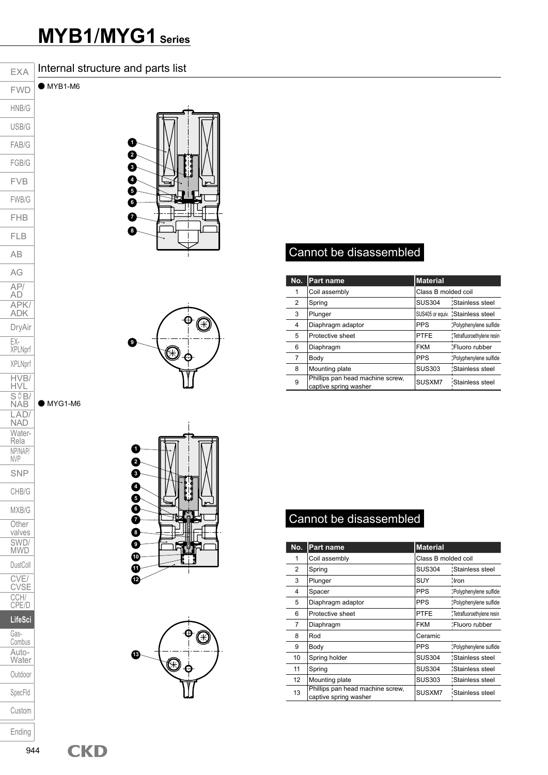# **MYB1**/**MYG1 Series**

Internal structure and parts list

### $\bullet$  MYB1-M6

EXA FWD

HNB/G USB/G

FAB/G FGB/G FVB

FWB/G FHB

FLB AB

AG AP/ AD APK/ ADK DryAir EX-XPLNprf XPLNprf HVB/ HVL  $S \sqrt{\frac{A}{2}}B/$ NAB LAD/ NAD Water-Rela NP/NAP/ NVP SNP CHB/G MXB/G **Other** valves SWD/ MWD DustColl CVE/ CVSE CCH/ CPE/D **LifeSci** Gas-Combus Auto-Water Outdoor SpecFld

## **8** *<u><b>*</u> **6 5 4 3 2 1**



 $\bullet$  MYG1-M6





### Cannot be disassembled

| No. | <b>IPart name</b>                                         | <b>Material</b>     |                                  |
|-----|-----------------------------------------------------------|---------------------|----------------------------------|
| 1   | Coil assembly                                             | Class B molded coil |                                  |
| 2   | Spring                                                    | <b>SUS304</b>       | Stainless steel                  |
| 3   | Plunger                                                   |                     | SUS405 or equiv. Stainless steel |
| 4   | Diaphragm adaptor                                         | <b>PPS</b>          | Polyphenylene sulfide            |
| 5   | Protective sheet                                          | PTFE                | : Tetrafluoroethylene resin      |
| 6   | Diaphragm                                                 | <b>FKM</b>          | :Fluoro rubber                   |
| 7   | Body                                                      | <b>PPS</b>          | Polyphenylene sulfide            |
| 8   | Mounting plate                                            | <b>SUS303</b>       | Stainless steel                  |
| 9   | Phillips pan head machine screw,<br>captive spring washer | SUSXM7              | Stainless steel                  |

### Cannot be disassembled

| No. | Part name                                                 | <b>Material</b>     |                           |  |
|-----|-----------------------------------------------------------|---------------------|---------------------------|--|
| 1   | Coil assembly                                             | Class B molded coil |                           |  |
| 2   | Spring                                                    | <b>SUS304</b>       | Stainless steel           |  |
| 3   | Plunger                                                   | SUY                 | lron                      |  |
| 4   | Spacer                                                    | <b>PPS</b>          | Polyphenylene sulfide     |  |
| 5   | Diaphragm adaptor                                         | <b>PPS</b>          | Polyphenylene sulfide     |  |
| 6   | Protective sheet                                          | PTFE                | Tetrafluoroethylene resin |  |
| 7   | Diaphragm                                                 | <b>FKM</b>          | Fluoro rubber             |  |
| 8   | Rod                                                       | Ceramic             |                           |  |
| 9   | Body                                                      | <b>PPS</b>          | Polyphenylene sulfide     |  |
| 10  | Spring holder                                             | <b>SUS304</b>       | Stainless steel           |  |
| 11  | Spring                                                    | <b>SUS304</b>       | Stainless steel           |  |
| 12  | Mounting plate                                            | <b>SUS303</b>       | Stainless steel           |  |
| 13  | Phillips pan head machine screw,<br>captive spring washer | SUSXM7              | Stainless steel           |  |

#### 944

Custom

Ending

**CKD**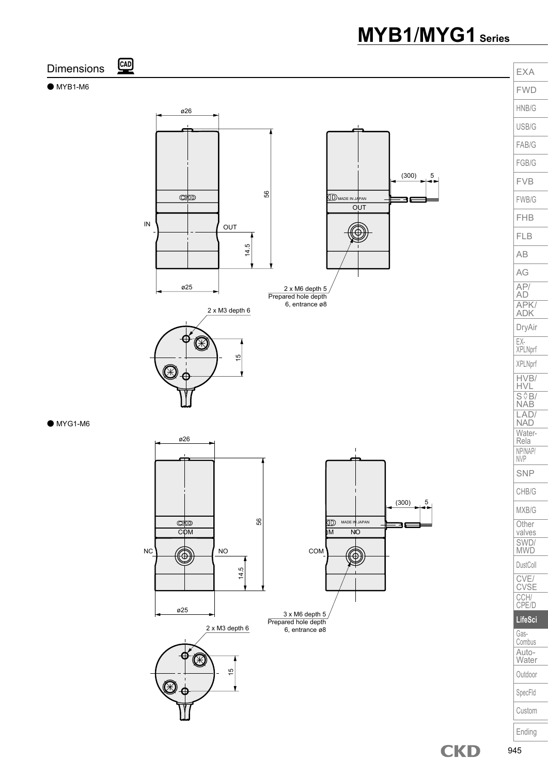# **MYB1**/**MYG1 Series**



**CKD**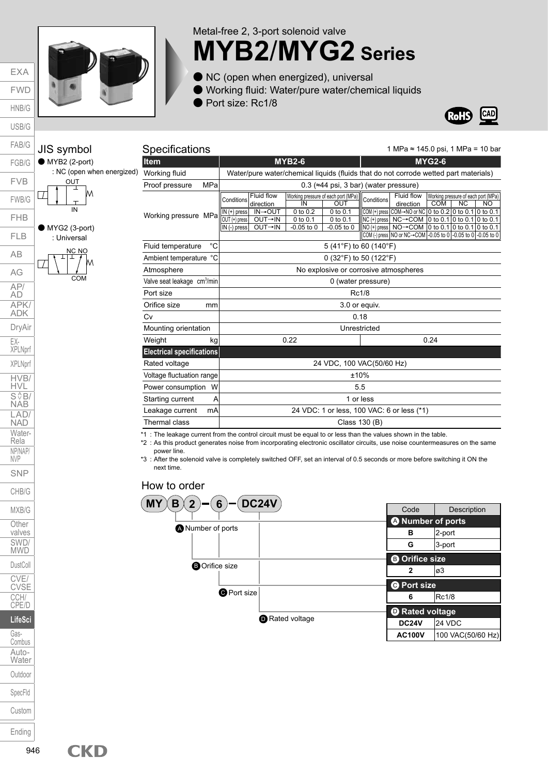EXA FWD HNB/G USB/G FAB/G FGB/G FVB FWB/G FHB FLB AB AG AP/ AD APK/ ADK DryAir EX-XPLNprf XPLNprf HVB/ HVL  $S \sqrt{\frac{A}{2}}B/$ NAB LAD/ NAD Water-Rela NP/NAP/ NVP SNP CHB/G MXB/G **Other** valves SWD/ **MWD** DustColl **CVE CVSE** CCH/ CPE/D **LifeSci** Gas-Combus Auto-**Water Outdoor** SpecFld



Metal-free 2, 3-port solenoid valve

# **MYB2**/**MYG2 Series**

- NC (open when energized), universal
- Working fluid: Water/pure water/chemical liquids
- Port size: Rc1/8



1 MPa ≈ 145.0 psi, 1 MPa = 10 bar



| Working fluid                           | Water/pure water/chemical liquids (fluids that do not corrode wetted part materials)                                                                                                                                 |                                                                                                                                                                                                                                                                     |  |  |  |
|-----------------------------------------|----------------------------------------------------------------------------------------------------------------------------------------------------------------------------------------------------------------------|---------------------------------------------------------------------------------------------------------------------------------------------------------------------------------------------------------------------------------------------------------------------|--|--|--|
| <b>MPa</b><br>Proof pressure            | $0.3$ ( $\approx$ 44 psi, 3 bar) (water pressure)                                                                                                                                                                    |                                                                                                                                                                                                                                                                     |  |  |  |
| Working pressure MPa                    | Fluid flow<br>Working pressure of each port (MPa)<br>Conditions<br>OUT<br>direction<br>IN<br>$IN \rightarrow OUT$<br>0 to 0.2<br>$0$ to $0.1$<br>IN (+) press<br>OUT→IN<br>$0$ to $0.1$<br>OUT (+) press<br>0 to 0.1 | Fluid flow<br>Working pressure of each port (MPa)<br>Conditions<br>NC<br><b>COM</b><br>direction<br>NO.<br>$\left \left  \right $ COM (+) press COM $\rightarrow$ NO or NC 0 to 0.2 0 to 0.1 0 to 0.1<br>$\parallel$ NC (+) press NC→COM 0 to 0.1 0 to 0.1 0 to 0.1 |  |  |  |
|                                         | OUT→IN<br>$-0.05$ to 0<br>$-0.05$ to $0$<br>$IN$ (-) press                                                                                                                                                           | $\ $  NO(+) press   NO→COM   0 to 0.1   0 to 0.1   0 to 0.1<br>COM (-) press NO or NC→COM -0.05 to 0 -0.05 to 0 -0.05 to 0                                                                                                                                          |  |  |  |
| $^{\circ}$ C<br>Fluid temperature       | 5 (41°F) to 60 (140°F)                                                                                                                                                                                               |                                                                                                                                                                                                                                                                     |  |  |  |
| Ambient temperature °C                  | 0 (32°F) to 50 (122°F)                                                                                                                                                                                               |                                                                                                                                                                                                                                                                     |  |  |  |
| Atmosphere                              | No explosive or corrosive atmospheres                                                                                                                                                                                |                                                                                                                                                                                                                                                                     |  |  |  |
| Valve seat leakage cm <sup>3</sup> /min | 0 (water pressure)                                                                                                                                                                                                   |                                                                                                                                                                                                                                                                     |  |  |  |
| Port size                               | <b>Rc1/8</b>                                                                                                                                                                                                         |                                                                                                                                                                                                                                                                     |  |  |  |
| Orifice size<br>mm                      | 3.0 or equiv.                                                                                                                                                                                                        |                                                                                                                                                                                                                                                                     |  |  |  |
| Cv                                      | 0.18                                                                                                                                                                                                                 |                                                                                                                                                                                                                                                                     |  |  |  |
| Mounting orientation                    | Unrestricted                                                                                                                                                                                                         |                                                                                                                                                                                                                                                                     |  |  |  |
| Weight<br>kg                            | 0.22                                                                                                                                                                                                                 | 0.24                                                                                                                                                                                                                                                                |  |  |  |
| Electrical specifications               |                                                                                                                                                                                                                      |                                                                                                                                                                                                                                                                     |  |  |  |
| Rated voltage                           | 24 VDC, 100 VAC(50/60 Hz)                                                                                                                                                                                            |                                                                                                                                                                                                                                                                     |  |  |  |
| Voltage fluctuation range               | ±10%                                                                                                                                                                                                                 |                                                                                                                                                                                                                                                                     |  |  |  |
| Power consumption<br>W                  | 5.5                                                                                                                                                                                                                  |                                                                                                                                                                                                                                                                     |  |  |  |
| Starting current<br>A                   | 1 or less                                                                                                                                                                                                            |                                                                                                                                                                                                                                                                     |  |  |  |
| Leakage current<br>mAl                  | 24 VDC: 1 or less, 100 VAC: 6 or less (*1)                                                                                                                                                                           |                                                                                                                                                                                                                                                                     |  |  |  |
| Thermal class                           | Class 130 (B)                                                                                                                                                                                                        |                                                                                                                                                                                                                                                                     |  |  |  |

\*1 : The leakage current from the control circuit must be equal to or less than the values shown in the table.

\*2 : As this product generates noise from incorporating electronic oscillator circuits, use noise countermeasures on the same power line.

\*3 : After the solenoid valve is completely switched OFF, set an interval of 0.5 seconds or more before switching it ON the next time.

#### How to order



Custom

Ending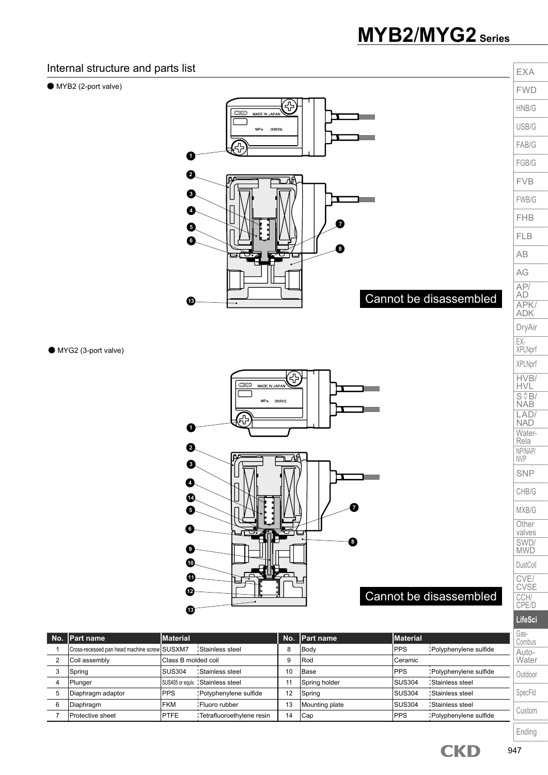# **MYB2**/**MYG2 Series**

EXA FWD HNB/G USB/G

FAB/G FGB/G FVB

FWB/G FHB

FLB AB

AG AP/ AD APK/ ADK DryAir EX-XPLNprf XPLNprf HVB/ HVL  $S \sqrt{\frac{A}{B}}$ NAB LAD/ NAD Water-Rela NP/NAP/ NVP SNP CHB/G

#### Internal structure and parts list

● MYB2 (2-port valve)



Cannot be disassembled

● MYG2 (3-port valve)



### Cannot be disassembled

CPE/D **LifeSci**

MXB/G **Other** valves SWD/ MWD DustColl CVE/ CVSE CCH/

|   | No. Part name                                | <b>Material</b>     |                                  | No. | <b>Part name</b> | <b>Material</b> |                       | Gas-<br>Combus |
|---|----------------------------------------------|---------------------|----------------------------------|-----|------------------|-----------------|-----------------------|----------------|
|   | Cross-recessed pan head machine screw SUSXM7 |                     | Stainless steel                  |     | <b>Body</b>      | <b>IPPS</b>     | Polyphenylene sulfide | Auto-          |
|   | Coil assembly                                | Class B molded coil |                                  |     | <b>Rod</b>       | l Ceramic       |                       | Water          |
|   | Spring                                       | <b>SUS304</b>       | Stainless steel                  | 10  | <b>Base</b>      | <b>IPPS</b>     | Polyphenylene sulfide | Outdoor        |
|   | <b>Plunger</b>                               |                     | SUS405 or equiv. Stainless steel | 11  | Spring holder    | SUS304          | Stainless steel       |                |
|   | Diaphragm adaptor                            | <b>PPS</b>          | Polyphenylene sulfide            | 12  | Spring           | SUS304          | Stainless steel       | SpecFld        |
| 6 | Diaphragm                                    | <b>FKM</b>          | Fluoro rubber                    | 13  | Mounting plate   | SUS304          | Stainless steel       |                |
|   | Protective sheet                             | <b>PTFE</b>         | Tetrafluoroethylene resin        | 14  | Cap              | IPPS            | Polyphenylene sulfide | Custom         |

Ending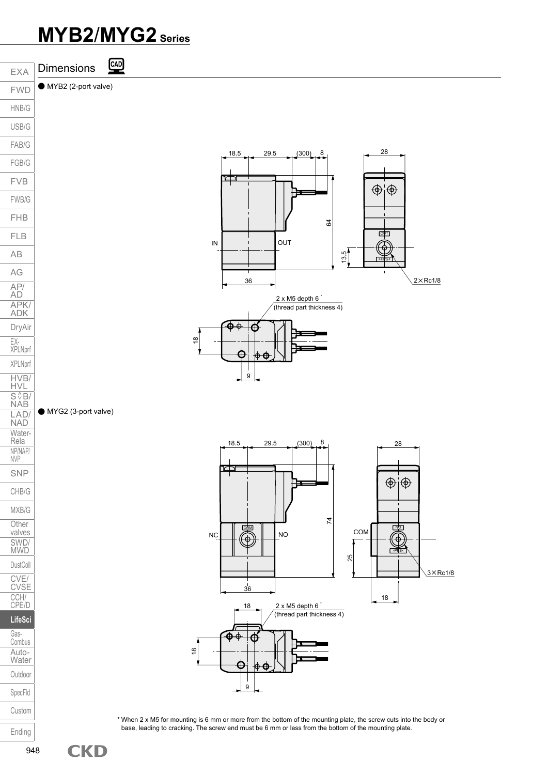# **MYB2**/**MYG2 Series**

 $\boxed{\text{CAD}}$ 

| EXA                        | Dimensions          | Ŀ |
|----------------------------|---------------------|---|
| <b>FWD</b>                 | MYB2 (2-port valve) |   |
| HNB/G                      |                     |   |
| USB/G                      |                     |   |
| FAB/G                      |                     |   |
| FGB/G                      |                     |   |
| <b>FVB</b>                 |                     |   |
| FWB/G                      |                     |   |
| <b>FHB</b>                 |                     |   |
| <b>FLB</b>                 |                     |   |
| AB                         |                     |   |
| AG                         |                     |   |
| AP/<br>AD                  |                     |   |
| APK/<br>ADK                |                     |   |
| DryAir                     |                     |   |
| EX-<br><b>XPLNprf</b>      |                     |   |
| <b>XPLNprf</b>             |                     |   |
| HVB/<br>HVL                |                     |   |
| $S \sqrt[4]{B}$<br>NAB     |                     |   |
| LAD/<br><b>NAD</b>         | MYG2 (3-port valve) |   |
| Water-<br>Rela             |                     |   |
| NP/NAP/<br><b>NVP</b>      |                     |   |
| SNP                        |                     |   |
| CHB/G                      |                     |   |
| MXB/G                      |                     |   |
| Other<br>valves            |                     |   |
| SWD/<br>MWD                |                     |   |
| DustColl                   |                     |   |
| CVE/<br><b>CVSE</b>        |                     |   |
| $\overline{CCH/}$<br>CPE/D |                     |   |
| LifeSci                    |                     |   |
| Gas-<br>Combus             |                     |   |
| Auto-<br>Water             |                     |   |
| Outdoor                    |                     |   |
| SpecFld                    |                     |   |
| Custom                     |                     |   |
| Ending                     |                     |   |





\* When 2 x M5 for mounting is 6 mm or more from the bottom of the mounting plate, the screw cuts into the body or base, leading to cracking. The screw end must be 6 mm or less from the bottom of the mounting plate.

948

 $\overline{a}$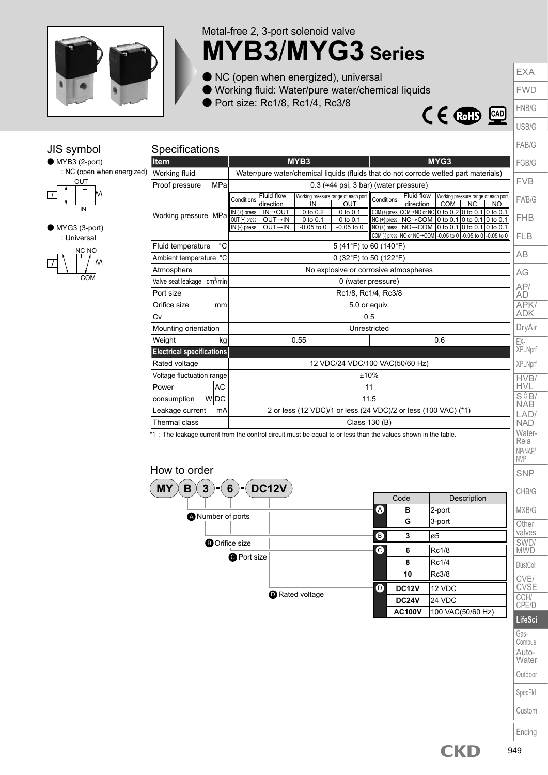

Metal-free 2, 3-port solenoid valve

# **MYB3**/**MYG3 Series**

- NC (open when energized), universal
- Working fluid: Water/pure water/chemical liquids
- Port size: Rc1/8, Rc1/4, Rc3/8

 $C \in \mathbb{R}$  and  $\mathbb{R}$ 

EXA FWD HNB/G USB/G

#### JIS symbol

 $\bullet$  MYB3 (2-port) : NC (open when energized)



 $\bullet$  MYG3 (3-port) : Universal NC NO



| Specifications                          |                                                                                                                                                                                                                                                                                                                                                                                                                                                | FAB/G              |  |  |
|-----------------------------------------|------------------------------------------------------------------------------------------------------------------------------------------------------------------------------------------------------------------------------------------------------------------------------------------------------------------------------------------------------------------------------------------------------------------------------------------------|--------------------|--|--|
| Item                                    | MYB3<br>MYG3                                                                                                                                                                                                                                                                                                                                                                                                                                   |                    |  |  |
| Working fluid                           | Water/pure water/chemical liquids (fluids that do not corrode wetted part materials)                                                                                                                                                                                                                                                                                                                                                           |                    |  |  |
| Proof pressure<br>MPa                   | $0.3$ ( $\approx$ 44 psi, 3 bar) (water pressure)                                                                                                                                                                                                                                                                                                                                                                                              | <b>FVB</b>         |  |  |
|                                         | Fluid flow<br><b>Fluid flow</b><br>Working pressure range of each port<br>Working pressure range of each port<br>Conditions<br>Conditions<br>$\overline{\mathsf{IN}}$<br>OUT<br><b>COM</b><br>$\overline{\text{NC}}$<br><b>NO</b><br>direction<br>direction                                                                                                                                                                                    | <b>FWB/G</b>       |  |  |
| Working pressure MPa                    | $\text{COM}(+)$ press $\text{COM}\rightarrow\text{NO}$ or NC $\text{O}$ to 0.2 $\text{O}$ to 0.1 $\text{O}$ to 0.1<br>$\overline{\mathsf{IN}(+)}$ press<br>$IN \rightarrow OUT$<br>0 to 0.2<br>0 to 0.1<br>OUT→IN<br>$NC$ (+) press $NC \rightarrow COM$   0 to 0.1   0 to 0.1   0 to 0.1<br>0 to 0.1<br>0 to 0.1<br>OUT (+) press<br>NO (+) press NO→COM 0 to 0.1 0 to 0.1 0 to 0.1<br>OUT→IN<br>$-0.05$ to 0<br>$-0.05$ to 0<br>IN (-) press | <b>FHB</b>         |  |  |
|                                         | COM (-) press NO or NC→COM   -0.05 to 0   -0.05 to 0   -0.05 to 0                                                                                                                                                                                                                                                                                                                                                                              | <b>FLB</b>         |  |  |
| Fluid temperature<br>°C                 | 5 (41°F) to 60 (140°F)                                                                                                                                                                                                                                                                                                                                                                                                                         | AB                 |  |  |
| Ambient temperature °C                  | 0 (32°F) to 50 (122°F)                                                                                                                                                                                                                                                                                                                                                                                                                         |                    |  |  |
| Atmosphere                              | No explosive or corrosive atmospheres                                                                                                                                                                                                                                                                                                                                                                                                          | AG                 |  |  |
| Valve seat leakage cm <sup>3</sup> /min | 0 (water pressure)                                                                                                                                                                                                                                                                                                                                                                                                                             |                    |  |  |
| Port size                               | Rc1/8, Rc1/4, Rc3/8                                                                                                                                                                                                                                                                                                                                                                                                                            |                    |  |  |
| Orifice size<br>mm                      | AD<br>5.0 or equiv.<br>APK/                                                                                                                                                                                                                                                                                                                                                                                                                    |                    |  |  |
| Cv                                      | ADK.<br>0.5                                                                                                                                                                                                                                                                                                                                                                                                                                    |                    |  |  |
| Mounting orientation                    | Unrestricted                                                                                                                                                                                                                                                                                                                                                                                                                                   |                    |  |  |
| Weight<br>kg                            | 0.55<br>0.6                                                                                                                                                                                                                                                                                                                                                                                                                                    | EX-                |  |  |
| <b>Electrical specifications</b>        |                                                                                                                                                                                                                                                                                                                                                                                                                                                | XPLNprf            |  |  |
| Rated voltage                           | 12 VDC/24 VDC/100 VAC(50/60 Hz)                                                                                                                                                                                                                                                                                                                                                                                                                |                    |  |  |
| Voltage fluctuation range               | ±10%                                                                                                                                                                                                                                                                                                                                                                                                                                           |                    |  |  |
| AC<br>Power                             | HVB/<br><b>HVL</b><br>11<br>$S \sqrt[4]{B}$                                                                                                                                                                                                                                                                                                                                                                                                    |                    |  |  |
| WIDC<br>11.5<br>consumption             |                                                                                                                                                                                                                                                                                                                                                                                                                                                |                    |  |  |
| Leakage current<br>mA                   | 2 or less (12 VDC)/1 or less (24 VDC)/2 or less (100 VAC) (*1)                                                                                                                                                                                                                                                                                                                                                                                 | <b>NAB</b><br>LAD/ |  |  |
| Thermal class                           | <b>NAD</b><br>Class 130 (B)                                                                                                                                                                                                                                                                                                                                                                                                                    |                    |  |  |

\*1 : The leakage current from the control circuit must be equal to or less than the values shown in the table.



**LifeSci**

Water-Rela

| GAS-<br>Combus |
|----------------|
| Auto-<br>Water |
| Outdoor        |
| SpecFld        |
| Custom         |

Ending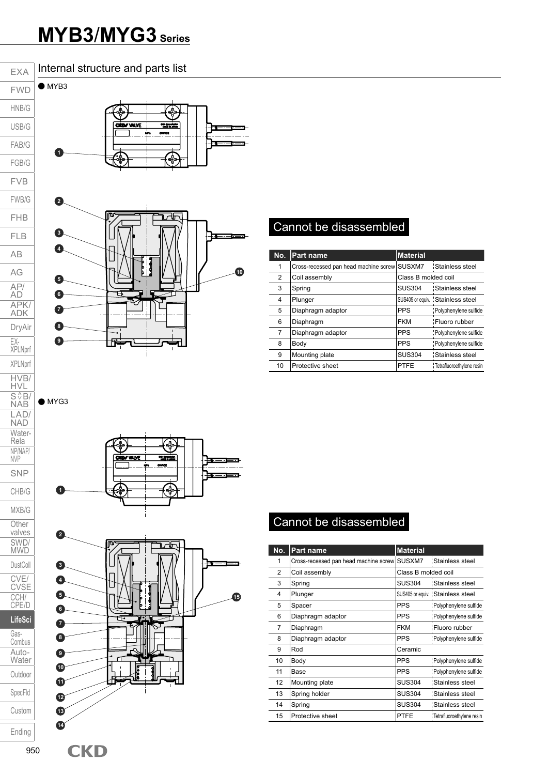# **MYB3**/**MYG3 Series**

#### Internal structure and parts list





### $\bullet$  MYG3





### Cannot be disassembled

| No.            | lPart name                            | <b>Material</b>     |                                  |
|----------------|---------------------------------------|---------------------|----------------------------------|
|                | Cross-recessed pan head machine screw | SUSXM7              | Stainless steel                  |
| $\overline{2}$ | Coil assembly                         | Class B molded coil |                                  |
| 3              | Spring                                | <b>SUS304</b>       | Stainless steel                  |
| 4              | Plunger                               |                     | SUS405 or equiv. Stainless steel |
| 5              | Diaphragm adaptor                     | <b>PPS</b>          | Polyphenylene sulfide            |
| 6              | Diaphragm                             | <b>FKM</b>          | Fluoro rubber                    |
| 7              | Diaphragm adaptor                     | <b>PPS</b>          | Polyphenylene sulfide            |
| 8              | Body                                  | <b>PPS</b>          | Polyphenylene sulfide            |
| 9              | Mounting plate                        | <b>SUS304</b>       | Stainless steel                  |
| 10             | Protective sheet                      | PTFE                | : Tetrafluoroethylene resin      |

### Cannot be disassembled

| No. | <b>Part name</b>                             | <b>Material</b>     |                                   |
|-----|----------------------------------------------|---------------------|-----------------------------------|
|     | Cross-recessed pan head machine screw SUSXM7 |                     | Stainless steel                   |
| 2   | Coil assembly                                | Class B molded coil |                                   |
| 3   | Spring                                       | <b>SUS304</b>       | Stainless steel                   |
| 4   | Plunger                                      |                     | SUS405 or equiv. 'Stainless steel |
| 5   | Spacer                                       | <b>PPS</b>          | Polyphenylene sulfide             |
| 6   | Diaphragm adaptor                            | <b>PPS</b>          | Polyphenylene sulfide             |
| 7   | Diaphragm                                    | <b>FKM</b>          | Fluoro rubber                     |
| 8   | Diaphragm adaptor                            | <b>PPS</b>          | Polyphenylene sulfide             |
| 9   | Rod                                          | Ceramic             |                                   |
| 10  | Body                                         | <b>PPS</b>          | Polyphenylene sulfide             |
| 11  | Base                                         | <b>PPS</b>          | Polyphenylene sulfide             |
| 12  | Mounting plate                               | <b>SUS304</b>       | Stainless steel                   |
| 13  | Spring holder                                | <b>SUS304</b>       | Stainless steel                   |
| 14  | Spring                                       | <b>SUS304</b>       | Stainless steel                   |
| 15  | Protective sheet                             | <b>PTFE</b>         | Tetrafluoroethylene resin         |

950